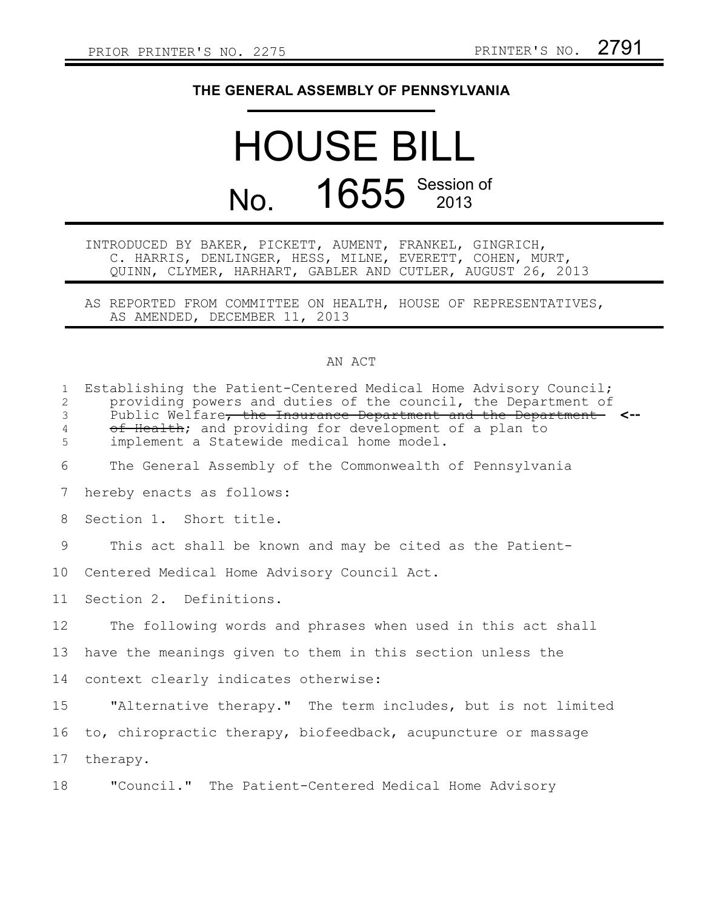## **THE GENERAL ASSEMBLY OF PENNSYLVANIA**

## HOUSE BILL No. 1655 Session of

| INTRODUCED BY BAKER, PICKETT, AUMENT, FRANKEL, GINGRICH, |  |  |  |                                                            |  |  |
|----------------------------------------------------------|--|--|--|------------------------------------------------------------|--|--|
|                                                          |  |  |  | C. HARRIS, DENLINGER, HESS, MILNE, EVERETT, COHEN, MURT,   |  |  |
|                                                          |  |  |  | QUINN, CLYMER, HARHART, GABLER AND CUTLER, AUGUST 26, 2013 |  |  |

AS REPORTED FROM COMMITTEE ON HEALTH, HOUSE OF REPRESENTATIVES, AS AMENDED, DECEMBER 11, 2013

## AN ACT

| $\mathbf{1}$<br>$\overline{2}$ | Establishing the Patient-Centered Medical Home Advisory Council;<br>providing powers and duties of the council, the Department of |  |  |  |  |  |  |  |
|--------------------------------|-----------------------------------------------------------------------------------------------------------------------------------|--|--|--|--|--|--|--|
| 3                              | Public Welfare, the Insurance Department and the Department <--                                                                   |  |  |  |  |  |  |  |
| $\overline{4}$                 | of Health; and providing for development of a plan to                                                                             |  |  |  |  |  |  |  |
| 5                              | implement a Statewide medical home model.                                                                                         |  |  |  |  |  |  |  |
| 6                              | The General Assembly of the Commonwealth of Pennsylvania                                                                          |  |  |  |  |  |  |  |
| 7                              | hereby enacts as follows:                                                                                                         |  |  |  |  |  |  |  |
| 8                              | Section 1. Short title.                                                                                                           |  |  |  |  |  |  |  |
| 9                              | This act shall be known and may be cited as the Patient-                                                                          |  |  |  |  |  |  |  |
| 10                             | Centered Medical Home Advisory Council Act.                                                                                       |  |  |  |  |  |  |  |
| 11                             | Section 2. Definitions.                                                                                                           |  |  |  |  |  |  |  |
| 12 <sup>°</sup>                | The following words and phrases when used in this act shall                                                                       |  |  |  |  |  |  |  |
| 13                             | have the meanings given to them in this section unless the                                                                        |  |  |  |  |  |  |  |
| 14                             | context clearly indicates otherwise:                                                                                              |  |  |  |  |  |  |  |
| 15                             | "Alternative therapy." The term includes, but is not limited                                                                      |  |  |  |  |  |  |  |
| 16                             | to, chiropractic therapy, biofeedback, acupuncture or massage                                                                     |  |  |  |  |  |  |  |
| 17                             | therapy.                                                                                                                          |  |  |  |  |  |  |  |
| 18                             | "Council." The Patient-Centered Medical Home Advisory                                                                             |  |  |  |  |  |  |  |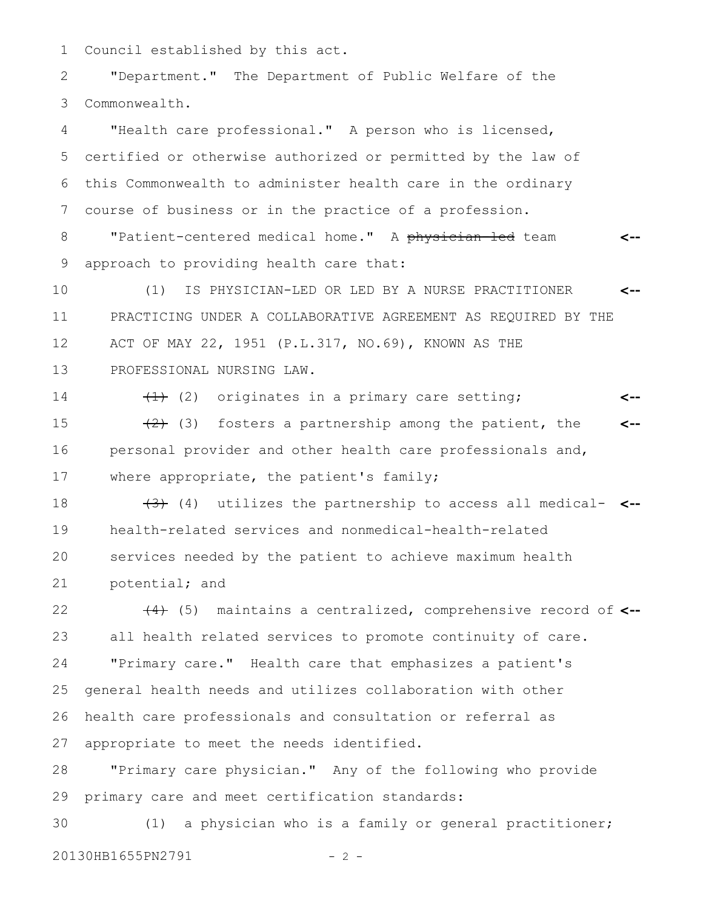Council established by this act. 1

"Department." The Department of Public Welfare of the Commonwealth. 2 3

"Health care professional." A person who is licensed, certified or otherwise authorized or permitted by the law of this Commonwealth to administer health care in the ordinary course of business or in the practice of a profession. 4 5 6 7

"Patient-centered medical home." A physician-led team approach to providing health care that: **<--** 8 9

(1) IS PHYSICIAN-LED OR LED BY A NURSE PRACTITIONER PRACTICING UNDER A COLLABORATIVE AGREEMENT AS REQUIRED BY THE ACT OF MAY 22, 1951 (P.L.317, NO.69), KNOWN AS THE PROFESSIONAL NURSING LAW. **<--** 10 11 12 13

 $(1)$  (2) originates in a primary care setting;  $(2)$  (3) fosters a partnership among the patient, the personal provider and other health care professionals and, where appropriate, the patient's family; **<-- <--** 14 15 16 17

(3) (4) utilizes the partnership to access all medical-**<-** health-related services and nonmedical-health-related services needed by the patient to achieve maximum health potential; and 18 19 20 21

(4) (5) maintains a centralized, comprehensive record of **<-** all health related services to promote continuity of care. "Primary care." Health care that emphasizes a patient's general health needs and utilizes collaboration with other health care professionals and consultation or referral as appropriate to meet the needs identified. 22 23 24 25 26 27

"Primary care physician." Any of the following who provide primary care and meet certification standards: 28 29

(1) a physician who is a family or general practitioner; 20130HB1655PN2791 - 2 -30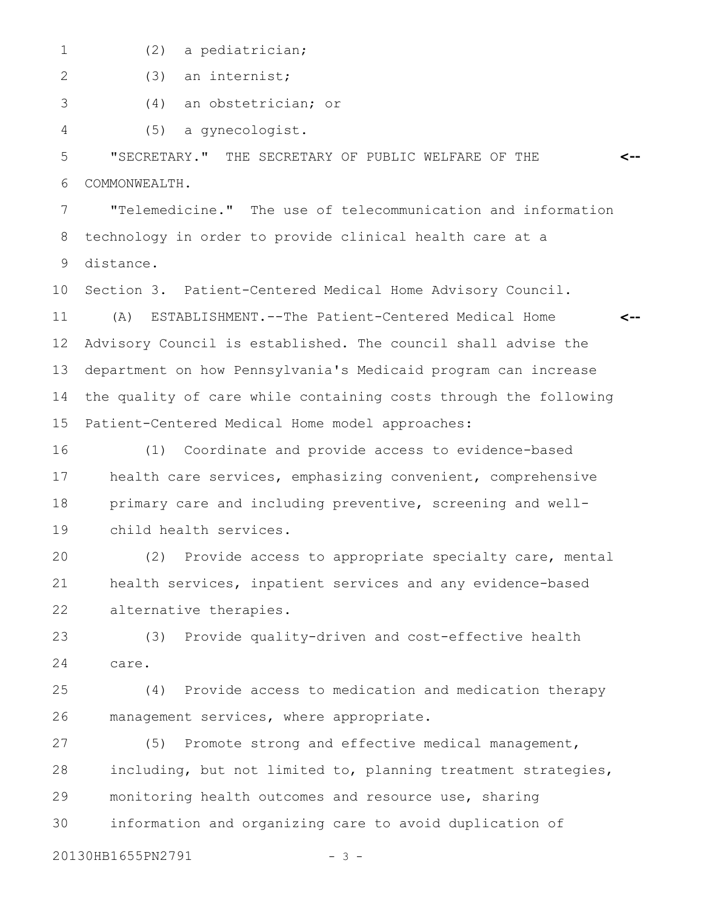- 1
- (2) a pediatrician;

(3) an internist; 2

(4) an obstetrician; or 3

(5) a gynecologist. 4

"SECRETARY." THE SECRETARY OF PUBLIC WELFARE OF THE COMMONWEALTH. 5 6

**<--**

"Telemedicine." The use of telecommunication and information technology in order to provide clinical health care at a distance. 7 8 9

Section 3. Patient-Centered Medical Home Advisory Council. (A) ESTABLISHMENT.--The Patient-Centered Medical Home Advisory Council is established. The council shall advise the department on how Pennsylvania's Medicaid program can increase the quality of care while containing costs through the following Patient-Centered Medical Home model approaches: **<--** 10 11 12 13 14 15

(1) Coordinate and provide access to evidence-based health care services, emphasizing convenient, comprehensive primary care and including preventive, screening and wellchild health services. 16 17 18 19

(2) Provide access to appropriate specialty care, mental health services, inpatient services and any evidence-based alternative therapies. 20 21 22

(3) Provide quality-driven and cost-effective health care. 23 24

(4) Provide access to medication and medication therapy management services, where appropriate. 25 26

(5) Promote strong and effective medical management, including, but not limited to, planning treatment strategies, monitoring health outcomes and resource use, sharing information and organizing care to avoid duplication of 27 28 29 30

20130HB1655PN2791 - 3 -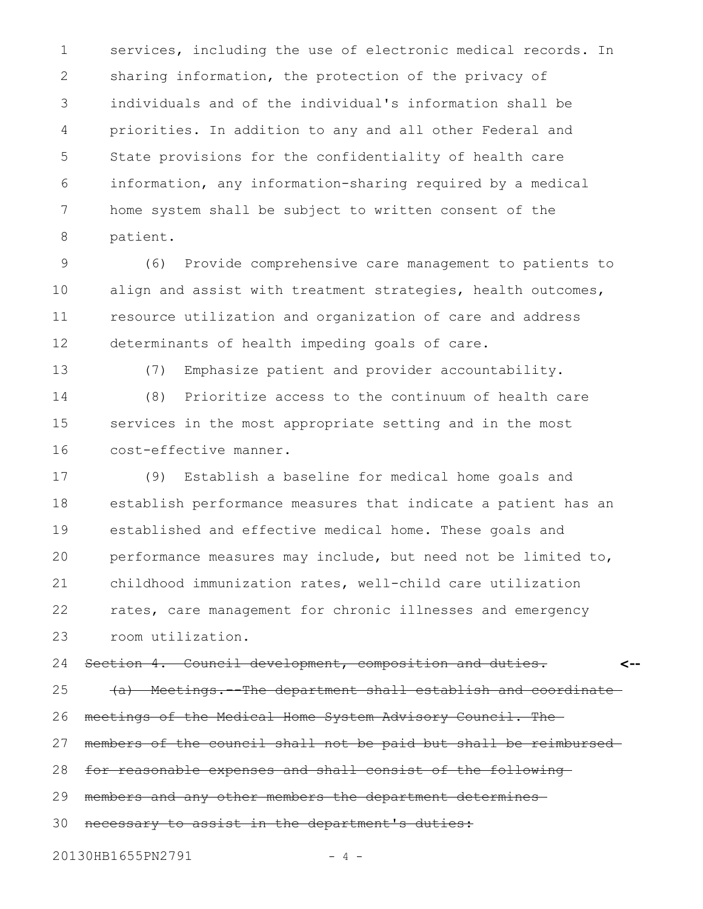services, including the use of electronic medical records. In sharing information, the protection of the privacy of individuals and of the individual's information shall be priorities. In addition to any and all other Federal and State provisions for the confidentiality of health care information, any information-sharing required by a medical home system shall be subject to written consent of the patient. 1 2 3 4 5 6 7 8

(6) Provide comprehensive care management to patients to align and assist with treatment strategies, health outcomes, resource utilization and organization of care and address determinants of health impeding goals of care. 9 10 11 12

13

(7) Emphasize patient and provider accountability.

(8) Prioritize access to the continuum of health care services in the most appropriate setting and in the most cost-effective manner. 14 15 16

(9) Establish a baseline for medical home goals and establish performance measures that indicate a patient has an established and effective medical home. These goals and performance measures may include, but need not be limited to, childhood immunization rates, well-child care utilization rates, care management for chronic illnesses and emergency room utilization. 17 18 19 20 21 22 23

Section 4. Council development, composition and duties. **<--** 24

(a) Meetings.--The department shall establish and coordinate meetings of the Medical Home System Advisory Council. The 25 26

members of the council shall not be paid but shall be reimbursed 27

for reasonable expenses and shall consist of the following 28

members and any other members the department determines 29

necessary to assist in the department's duties: 30

20130HB1655PN2791 - 4 -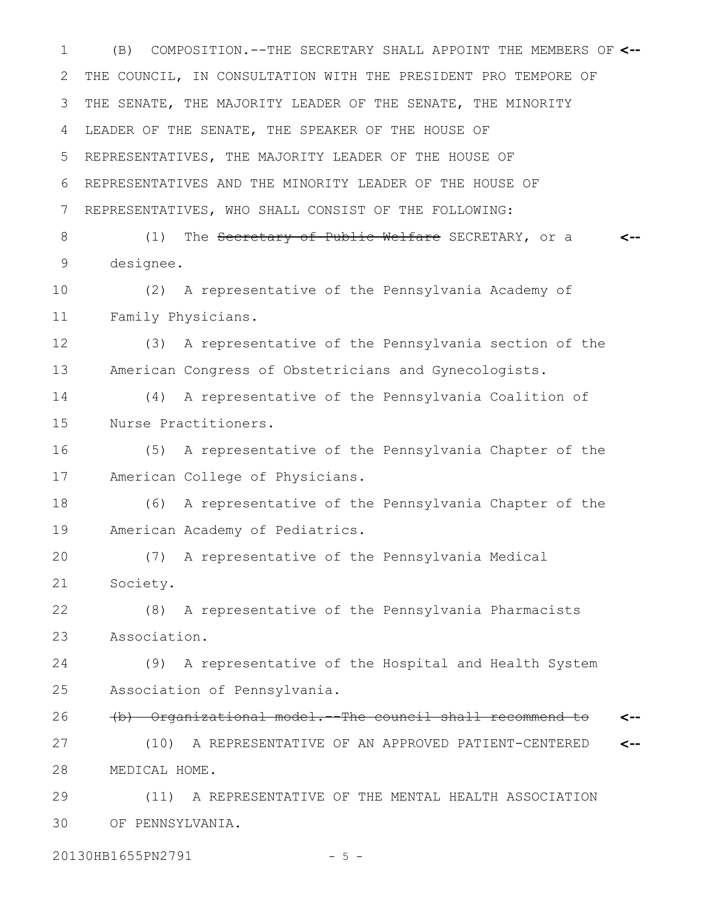(B) COMPOSITION.--THE SECRETARY SHALL APPOINT THE MEMBERS OF 1 **<--** THE COUNCIL, IN CONSULTATION WITH THE PRESIDENT PRO TEMPORE OF THE SENATE, THE MAJORITY LEADER OF THE SENATE, THE MINORITY LEADER OF THE SENATE, THE SPEAKER OF THE HOUSE OF REPRESENTATIVES, THE MAJORITY LEADER OF THE HOUSE OF REPRESENTATIVES AND THE MINORITY LEADER OF THE HOUSE OF REPRESENTATIVES, WHO SHALL CONSIST OF THE FOLLOWING: 2 3 4 5 6 7

(1) The Secretary of Public Welfare SECRETARY, or a designee. **<--** 8 9

(2) A representative of the Pennsylvania Academy of Family Physicians. 10 11

(3) A representative of the Pennsylvania section of the American Congress of Obstetricians and Gynecologists. 12 13

(4) A representative of the Pennsylvania Coalition of Nurse Practitioners. 14 15

(5) A representative of the Pennsylvania Chapter of the American College of Physicians. 16 17

(6) A representative of the Pennsylvania Chapter of the American Academy of Pediatrics. 18 19

(7) A representative of the Pennsylvania Medical Society. 20 21

(8) A representative of the Pennsylvania Pharmacists Association. 22 23

(9) A representative of the Hospital and Health System Association of Pennsylvania. 24 25

(b) Organizational model.--The council shall recommend to (10) A REPRESENTATIVE OF AN APPROVED PATIENT-CENTERED MEDICAL HOME. **<-- <--** 26 27 28

(11) A REPRESENTATIVE OF THE MENTAL HEALTH ASSOCIATION OF PENNSYLVANIA. 29 30

20130HB1655PN2791 - 5 -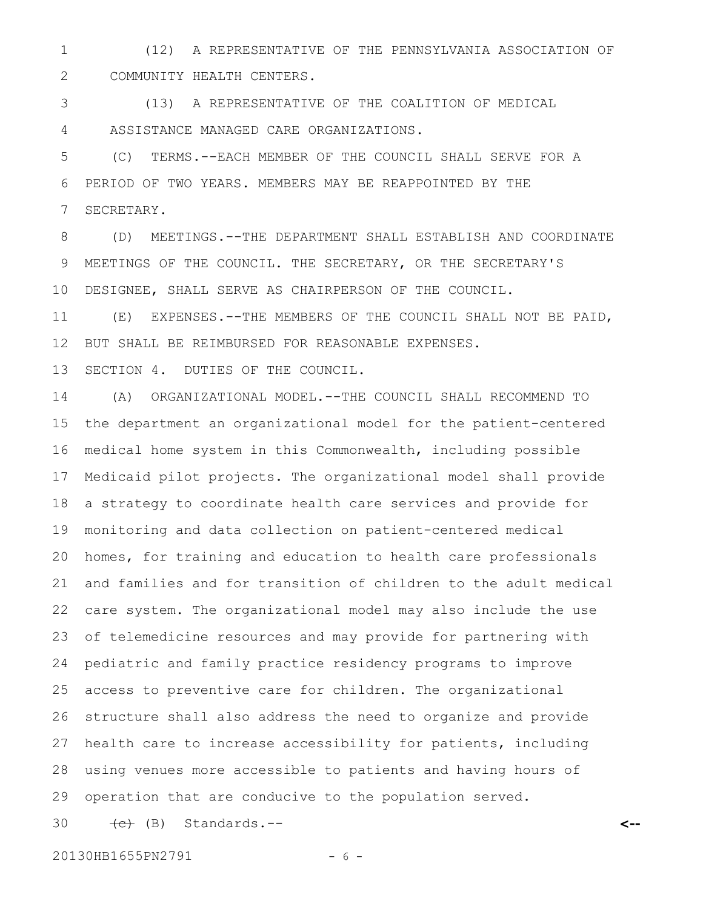(12) A REPRESENTATIVE OF THE PENNSYLVANIA ASSOCIATION OF COMMUNITY HEALTH CENTERS. 1 2

(13) A REPRESENTATIVE OF THE COALITION OF MEDICAL ASSISTANCE MANAGED CARE ORGANIZATIONS. 3 4

(C) TERMS.--EACH MEMBER OF THE COUNCIL SHALL SERVE FOR A PERIOD OF TWO YEARS. MEMBERS MAY BE REAPPOINTED BY THE SECRETARY. 5 6 7

(D) MEETINGS.--THE DEPARTMENT SHALL ESTABLISH AND COORDINATE MEETINGS OF THE COUNCIL. THE SECRETARY, OR THE SECRETARY'S DESIGNEE, SHALL SERVE AS CHAIRPERSON OF THE COUNCIL. 8 9 10

(E) EXPENSES.--THE MEMBERS OF THE COUNCIL SHALL NOT BE PAID, BUT SHALL BE REIMBURSED FOR REASONABLE EXPENSES. 11 12

SECTION 4. DUTIES OF THE COUNCIL. 13

(A) ORGANIZATIONAL MODEL.--THE COUNCIL SHALL RECOMMEND TO the department an organizational model for the patient-centered medical home system in this Commonwealth, including possible Medicaid pilot projects. The organizational model shall provide a strategy to coordinate health care services and provide for monitoring and data collection on patient-centered medical homes, for training and education to health care professionals and families and for transition of children to the adult medical care system. The organizational model may also include the use of telemedicine resources and may provide for partnering with pediatric and family practice residency programs to improve access to preventive care for children. The organizational structure shall also address the need to organize and provide health care to increase accessibility for patients, including using venues more accessible to patients and having hours of operation that are conducive to the population served.  $\leftarrow$  (B) Standards.--14 15 16 17 18 19 20 21 22 23 24 25 26 27 28 29 30

20130HB1655PN2791 - 6 -

**<--**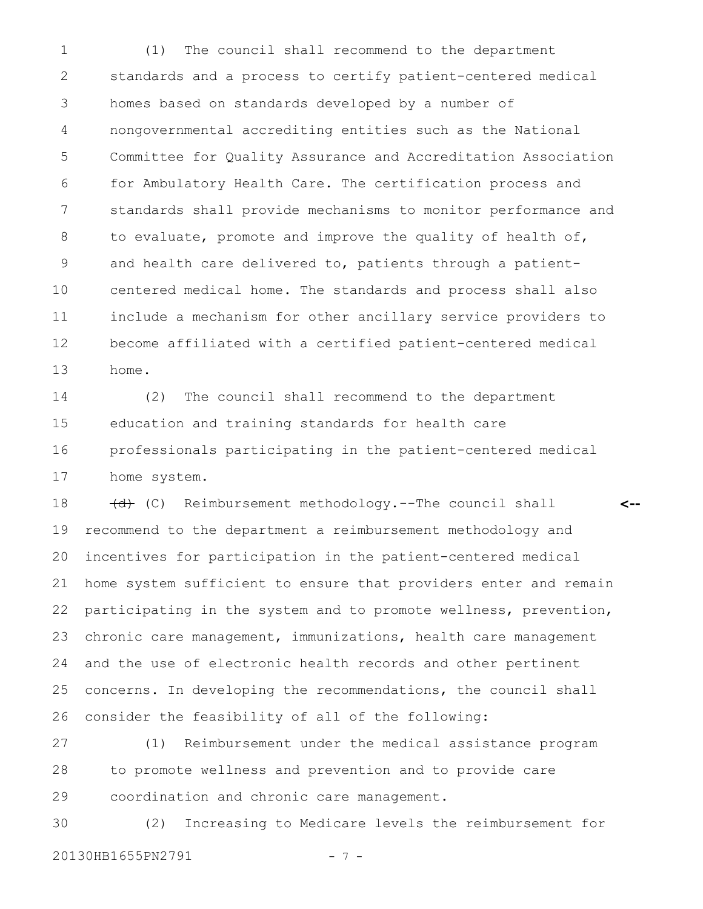(1) The council shall recommend to the department standards and a process to certify patient-centered medical homes based on standards developed by a number of nongovernmental accrediting entities such as the National Committee for Quality Assurance and Accreditation Association for Ambulatory Health Care. The certification process and standards shall provide mechanisms to monitor performance and to evaluate, promote and improve the quality of health of, and health care delivered to, patients through a patientcentered medical home. The standards and process shall also include a mechanism for other ancillary service providers to become affiliated with a certified patient-centered medical home. 1 2 3 4 5 6 7 8 9 10 11 12 13

(2) The council shall recommend to the department education and training standards for health care professionals participating in the patient-centered medical home system. 14 15 16 17

(d) (C) Reimbursement methodology.--The council shall recommend to the department a reimbursement methodology and incentives for participation in the patient-centered medical home system sufficient to ensure that providers enter and remain participating in the system and to promote wellness, prevention, chronic care management, immunizations, health care management and the use of electronic health records and other pertinent concerns. In developing the recommendations, the council shall consider the feasibility of all of the following: 18 19 20 21 22 23 24 25 26

**<--**

(1) Reimbursement under the medical assistance program to promote wellness and prevention and to provide care coordination and chronic care management. 27 28 29

(2) Increasing to Medicare levels the reimbursement for 20130HB1655PN2791 - 7 -30